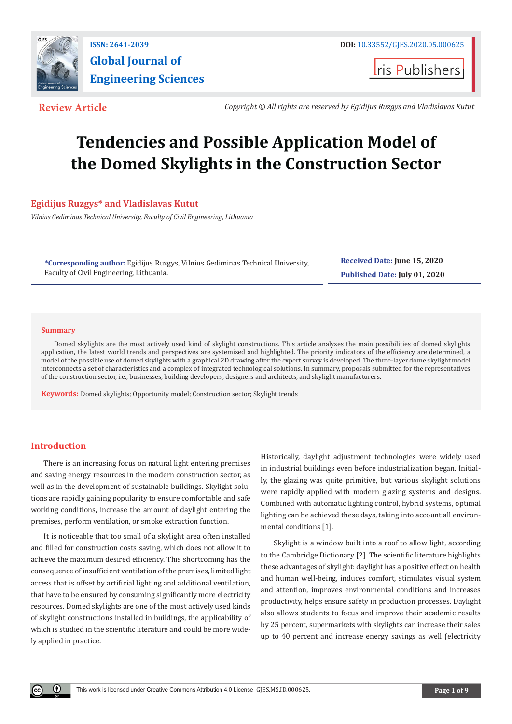

**ISSN: 2641-2039 DOI: [10.33552/GJES.2020.05.000625](http://dx.doi.org/10.33552/GJES.2020.05.000625) Global Journal of Engineering Sciences**

**Iris Publishers** 

**Review Article** *Copyright © All rights are reserved by Egidijus Ruzgys and Vladislavas Kutut*

# **Tendencies and Possible Application Model of the Domed Skylights in the Construction Sector**

## **Egidijus Ruzgys\* and Vladislavas Kutut**

*Vilnius Gediminas Technical University, Faculty of Civil Engineering, Lithuania*

**\*Corresponding author:** Egidijus Ruzgys, Vilnius Gediminas Technical University, Faculty of Civil Engineering, Lithuania.

**Received Date: June 15, 2020 Published Date: July 01, 2020**

## **Summary**

Domed skylights are the most actively used kind of skylight constructions. This article analyzes the main possibilities of domed skylights application, the latest world trends and perspectives are systemized and highlighted. The priority indicators of the efficiency are determined, a model of the possible use of domed skylights with a graphical 2D drawing after the expert survey is developed. The three-layer dome skylight model interconnects a set of characteristics and a complex of integrated technological solutions. In summary, proposals submitted for the representatives of the construction sector, i.e., businesses, building developers, designers and architects, and skylight manufacturers.

**Keywords:** Domed skylights; Opportunity model; Construction sector; Skylight trends

## **Introduction**

Œ

There is an increasing focus on natural light entering premises and saving energy resources in the modern construction sector, as well as in the development of sustainable buildings. Skylight solutions are rapidly gaining popularity to ensure comfortable and safe working conditions, increase the amount of daylight entering the premises, perform ventilation, or smoke extraction function.

It is noticeable that too small of a skylight area often installed and filled for construction costs saving, which does not allow it to achieve the maximum desired efficiency. This shortcoming has the consequence of insufficient ventilation of the premises, limited light access that is offset by artificial lighting and additional ventilation, that have to be ensured by consuming significantly more electricity resources. Domed skylights are one of the most actively used kinds of skylight constructions installed in buildings, the applicability of which is studied in the scientific literature and could be more widely applied in practice.

Historically, daylight adjustment technologies were widely used in industrial buildings even before industrialization began. Initially, the glazing was quite primitive, but various skylight solutions were rapidly applied with modern glazing systems and designs. Combined with automatic lighting control, hybrid systems, optimal lighting can be achieved these days, taking into account all environmental conditions [1].

Skylight is a window built into a roof to allow light, according to the Cambridge Dictionary [2]. The scientific literature highlights these advantages of skylight: daylight has a positive effect on health and human well-being, induces comfort, stimulates visual system and attention, improves environmental conditions and increases productivity, helps ensure safety in production processes. Daylight also allows students to focus and improve their academic results by 25 percent, supermarkets with skylights can increase their sales up to 40 percent and increase energy savings as well (electricity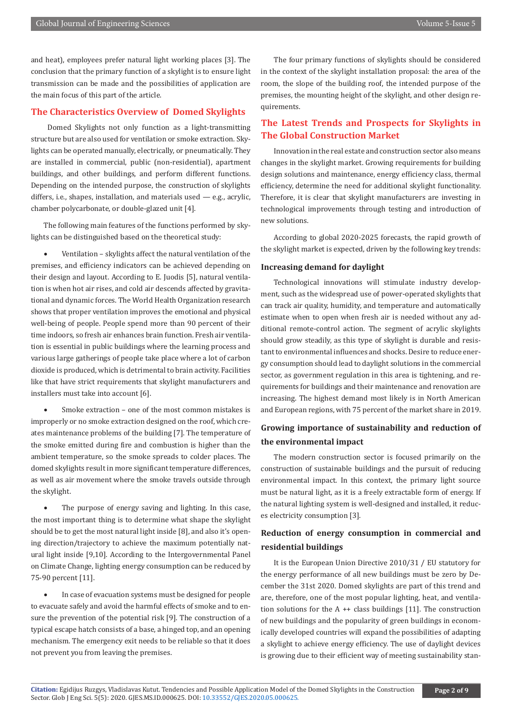and heat), employees prefer natural light working places [3]. The conclusion that the primary function of a skylight is to ensure light transmission can be made and the possibilities of application are the main focus of this part of the article.

## **The Characteristics Overview of Domed Skylights**

 Domed Skylights not only function as a light-transmitting structure but are also used for ventilation or smoke extraction. Skylights can be operated manually, electrically, or pneumatically. They are installed in commercial, public (non-residential), apartment buildings, and other buildings, and perform different functions. Depending on the intended purpose, the construction of skylights differs, i.e., shapes, installation, and materials used — e.g., acrylic, chamber polycarbonate, or double-glazed unit [4].

The following main features of the functions performed by skylights can be distinguished based on the theoretical study:

Ventilation - skylights affect the natural ventilation of the premises, and efficiency indicators can be achieved depending on their design and layout. According to E. Juodis [5], natural ventilation is when hot air rises, and cold air descends affected by gravitational and dynamic forces. The World Health Organization research shows that proper ventilation improves the emotional and physical well-being of people. People spend more than 90 percent of their time indoors, so fresh air enhances brain function. Fresh air ventilation is essential in public buildings where the learning process and various large gatherings of people take place where a lot of carbon dioxide is produced, which is detrimental to brain activity. Facilities like that have strict requirements that skylight manufacturers and installers must take into account [6].

Smoke extraction - one of the most common mistakes is improperly or no smoke extraction designed on the roof, which creates maintenance problems of the building [7]. The temperature of the smoke emitted during fire and combustion is higher than the ambient temperature, so the smoke spreads to colder places. The domed skylights result in more significant temperature differences, as well as air movement where the smoke travels outside through the skylight.

• The purpose of energy saving and lighting. In this case, the most important thing is to determine what shape the skylight should be to get the most natural light inside [8], and also it's opening direction/trajectory to achieve the maximum potentially natural light inside [9,10]. According to the Intergovernmental Panel on Climate Change, lighting energy consumption can be reduced by 75-90 percent [11].

In case of evacuation systems must be designed for people to evacuate safely and avoid the harmful effects of smoke and to ensure the prevention of the potential risk [9]. The construction of a typical escape hatch consists of a base, a hinged top, and an opening mechanism. The emergency exit needs to be reliable so that it does not prevent you from leaving the premises.

The four primary functions of skylights should be considered in the context of the skylight installation proposal: the area of the room, the slope of the building roof, the intended purpose of the premises, the mounting height of the skylight, and other design requirements.

## **The Latest Trends and Prospects for Skylights in The Global Construction Market**

Innovation in the real estate and construction sector also means changes in the skylight market. Growing requirements for building design solutions and maintenance, energy efficiency class, thermal efficiency, determine the need for additional skylight functionality. Therefore, it is clear that skylight manufacturers are investing in technological improvements through testing and introduction of new solutions.

According to global 2020-2025 forecasts, the rapid growth of the skylight market is expected, driven by the following key trends:

## **Increasing demand for daylight**

Technological innovations will stimulate industry development, such as the widespread use of power-operated skylights that can track air quality, humidity, and temperature and automatically estimate when to open when fresh air is needed without any additional remote-control action. The segment of acrylic skylights should grow steadily, as this type of skylight is durable and resistant to environmental influences and shocks. Desire to reduce energy consumption should lead to daylight solutions in the commercial sector, as government regulation in this area is tightening, and requirements for buildings and their maintenance and renovation are increasing. The highest demand most likely is in North American and European regions, with 75 percent of the market share in 2019.

## **Growing importance of sustainability and reduction of the environmental impact**

The modern construction sector is focused primarily on the construction of sustainable buildings and the pursuit of reducing environmental impact. In this context, the primary light source must be natural light, as it is a freely extractable form of energy. If the natural lighting system is well-designed and installed, it reduces electricity consumption [3].

## **Reduction of energy consumption in commercial and residential buildings**

It is the European Union Directive 2010/31 / EU statutory for the energy performance of all new buildings must be zero by December the 31st 2020. Domed skylights are part of this trend and are, therefore, one of the most popular lighting, heat, and ventilation solutions for the  $A ++$  class buildings [11]. The construction of new buildings and the popularity of green buildings in economically developed countries will expand the possibilities of adapting a skylight to achieve energy efficiency. The use of daylight devices is growing due to their efficient way of meeting sustainability stan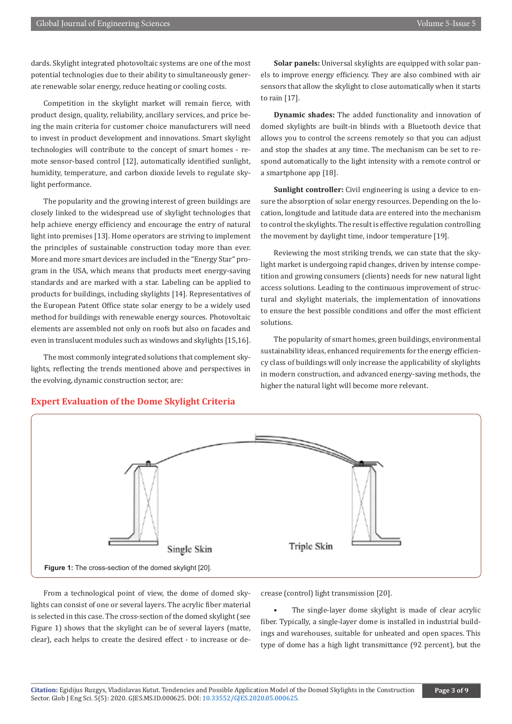dards. Skylight integrated photovoltaic systems are one of the most potential technologies due to their ability to simultaneously generate renewable solar energy, reduce heating or cooling costs.

Competition in the skylight market will remain fierce, with product design, quality, reliability, ancillary services, and price being the main criteria for customer choice manufacturers will need to invest in product development and innovations. Smart skylight technologies will contribute to the concept of smart homes - remote sensor-based control [12], automatically identified sunlight, humidity, temperature, and carbon dioxide levels to regulate skylight performance.

The popularity and the growing interest of green buildings are closely linked to the widespread use of skylight technologies that help achieve energy efficiency and encourage the entry of natural light into premises [13]. Home operators are striving to implement the principles of sustainable construction today more than ever. More and more smart devices are included in the "Energy Star" program in the USA, which means that products meet energy-saving standards and are marked with a star. Labeling can be applied to products for buildings, including skylights [14]. Representatives of the European Patent Office state solar energy to be a widely used method for buildings with renewable energy sources. Photovoltaic elements are assembled not only on roofs but also on facades and even in translucent modules such as windows and skylights [15,16].

The most commonly integrated solutions that complement skylights, reflecting the trends mentioned above and perspectives in the evolving, dynamic construction sector, are:

**Solar panels:** Universal skylights are equipped with solar panels to improve energy efficiency. They are also combined with air sensors that allow the skylight to close automatically when it starts to rain [17].

**Dynamic shades:** The added functionality and innovation of domed skylights are built-in blinds with a Bluetooth device that allows you to control the screens remotely so that you can adjust and stop the shades at any time. The mechanism can be set to respond automatically to the light intensity with a remote control or a smartphone app [18].

**Sunlight controller:** Civil engineering is using a device to ensure the absorption of solar energy resources. Depending on the location, longitude and latitude data are entered into the mechanism to control the skylights. The result is effective regulation controlling the movement by daylight time, indoor temperature [19].

Reviewing the most striking trends, we can state that the skylight market is undergoing rapid changes, driven by intense competition and growing consumers (clients) needs for new natural light access solutions. Leading to the continuous improvement of structural and skylight materials, the implementation of innovations to ensure the best possible conditions and offer the most efficient solutions.

The popularity of smart homes, green buildings, environmental sustainability ideas, enhanced requirements for the energy efficiency class of buildings will only increase the applicability of skylights in modern construction, and advanced energy-saving methods, the higher the natural light will become more relevant.



## **Expert Evaluation of the Dome Skylight Criteria**

From a technological point of view, the dome of domed skylights can consist of one or several layers. The acrylic fiber material is selected in this case. The cross-section of the domed skylight (see Figure 1) shows that the skylight can be of several layers (matte, clear), each helps to create the desired effect - to increase or decrease (control) light transmission [20].

The single-layer dome skylight is made of clear acrylic fiber. Typically, a single-layer dome is installed in industrial buildings and warehouses, suitable for unheated and open spaces. This type of dome has a high light transmittance (92 percent), but the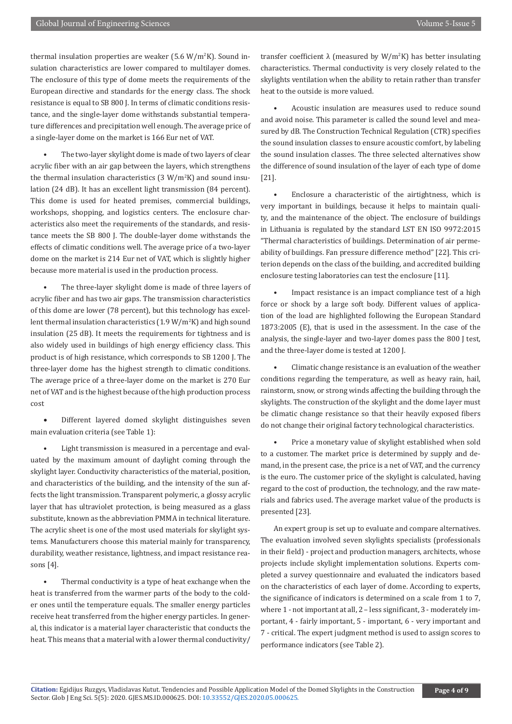thermal insulation properties are weaker (5.6 W/m<sup>2</sup>K). Sound insulation characteristics are lower compared to multilayer domes. The enclosure of this type of dome meets the requirements of the European directive and standards for the energy class. The shock resistance is equal to SB 800 J. In terms of climatic conditions resistance, and the single-layer dome withstands substantial temperature differences and precipitation well enough. The average price of a single-layer dome on the market is 166 Eur net of VAT.

The two-layer skylight dome is made of two layers of clear acrylic fiber with an air gap between the layers, which strengthens the thermal insulation characteristics  $(3 \text{ W/m}^2 \text{K})$  and sound insulation (24 dB). It has an excellent light transmission (84 percent). This dome is used for heated premises, commercial buildings, workshops, shopping, and logistics centers. The enclosure characteristics also meet the requirements of the standards, and resistance meets the SB 800 J. The double-layer dome withstands the effects of climatic conditions well. The average price of a two-layer dome on the market is 214 Eur net of VAT, which is slightly higher because more material is used in the production process.

The three-layer skylight dome is made of three layers of acrylic fiber and has two air gaps. The transmission characteristics of this dome are lower (78 percent), but this technology has excellent thermal insulation characteristics (1.9 W/m<sup>2</sup>K) and high sound insulation (25 dB). It meets the requirements for tightness and is also widely used in buildings of high energy efficiency class. This product is of high resistance, which corresponds to SB 1200 J. The three-layer dome has the highest strength to climatic conditions. The average price of a three-layer dome on the market is 270 Eur net of VAT and is the highest because of the high production process cost

• Different layered domed skylight distinguishes seven main evaluation criteria (see Table 1):

Light transmission is measured in a percentage and evaluated by the maximum amount of daylight coming through the skylight layer. Conductivity characteristics of the material, position, and characteristics of the building, and the intensity of the sun affects the light transmission. Transparent polymeric, a glossy acrylic layer that has ultraviolet protection, is being measured as a glass substitute, known as the abbreviation PMMA in technical literature. The acrylic sheet is one of the most used materials for skylight systems. Manufacturers choose this material mainly for transparency, durability, weather resistance, lightness, and impact resistance reasons [4].

• Thermal conductivity is a type of heat exchange when the heat is transferred from the warmer parts of the body to the colder ones until the temperature equals. The smaller energy particles receive heat transferred from the higher energy particles. In general, this indicator is a material layer characteristic that conducts the heat. This means that a material with a lower thermal conductivity/

transfer coefficient  $\lambda$  (measured by W/m<sup>2</sup>K) has better insulating characteristics. Thermal conductivity is very closely related to the skylights ventilation when the ability to retain rather than transfer heat to the outside is more valued.

• Acoustic insulation are measures used to reduce sound and avoid noise. This parameter is called the sound level and measured by dB. The Construction Technical Regulation (CTR) specifies the sound insulation classes to ensure acoustic comfort, by labeling the sound insulation classes. The three selected alternatives show the difference of sound insulation of the layer of each type of dome [21].

• Enclosure a characteristic of the airtightness, which is very important in buildings, because it helps to maintain quality, and the maintenance of the object. The enclosure of buildings in Lithuania is regulated by the standard LST EN ISO 9972:2015 "Thermal characteristics of buildings. Determination of air permeability of buildings. Fan pressure difference method" [22]. This criterion depends on the class of the building, and accredited building enclosure testing laboratories can test the enclosure [11].

Impact resistance is an impact compliance test of a high force or shock by a large soft body. Different values of application of the load are highlighted following the European Standard 1873:2005 (E), that is used in the assessment. In the case of the analysis, the single-layer and two-layer domes pass the 800 J test, and the three-layer dome is tested at 1200 J.

• Climatic change resistance is an evaluation of the weather conditions regarding the temperature, as well as heavy rain, hail, rainstorm, snow, or strong winds affecting the building through the skylights. The construction of the skylight and the dome layer must be climatic change resistance so that their heavily exposed fibers do not change their original factory technological characteristics.

Price a monetary value of skylight established when sold to a customer. The market price is determined by supply and demand, in the present case, the price is a net of VAT, and the currency is the euro. The customer price of the skylight is calculated, having regard to the cost of production, the technology, and the raw materials and fabrics used. The average market value of the products is presented [23].

An expert group is set up to evaluate and compare alternatives. The evaluation involved seven skylights specialists (professionals in their field) - project and production managers, architects, whose projects include skylight implementation solutions. Experts completed a survey questionnaire and evaluated the indicators based on the characteristics of each layer of dome. According to experts, the significance of indicators is determined on a scale from 1 to 7, where 1 - not important at all, 2 – less significant, 3 - moderately important, 4 - fairly important, 5 - important, 6 - very important and 7 - critical. The expert judgment method is used to assign scores to performance indicators (see Table 2).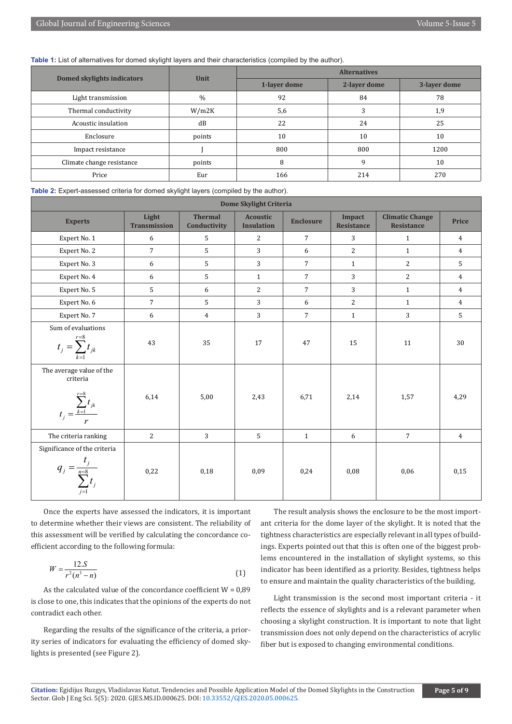## **Table 1:** List of alternatives for domed skylight layers and their characteristics (compiled by the author).

|                            | Unit   | <b>Alternatives</b> |              |              |  |
|----------------------------|--------|---------------------|--------------|--------------|--|
| Domed skylights indicators |        | 1-layer dome        | 2-layer dome | 3-layer dome |  |
| Light transmission         | $\%$   | 92<br>84            |              | 78           |  |
| Thermal conductivity       | W/m2K  | 5,6                 |              | 1,9          |  |
| Acoustic insulation        | dB     | 22                  | 24           | 25           |  |
| Enclosure                  | points | 10                  | 10           | 10           |  |
| Impact resistance          |        | 800                 | 800          | 1200         |  |
| Climate change resistance  | points | 8<br>9              |              | 10           |  |
| Price                      | Eur    | 166                 | 214          | 270          |  |

**Table 2:** Expert-assessed criteria for domed skylight layers (compiled by the author).

| Dome Skylight Criteria                                                            |                              |                                |                                      |                  |                             |                                             |                |  |  |  |
|-----------------------------------------------------------------------------------|------------------------------|--------------------------------|--------------------------------------|------------------|-----------------------------|---------------------------------------------|----------------|--|--|--|
| <b>Experts</b>                                                                    | Light<br><b>Transmission</b> | <b>Thermal</b><br>Conductivity | <b>Acoustic</b><br><b>Insulation</b> | <b>Enclosure</b> | Impact<br><b>Resistance</b> | <b>Climatic Change</b><br><b>Resistance</b> | Price          |  |  |  |
| Expert No. 1                                                                      | 6                            | 5                              | $\overline{2}$                       | $7^{\circ}$      | 3                           | $\mathbf{1}$                                | $\overline{4}$ |  |  |  |
| Expert No. 2                                                                      | $\overline{7}$               | 5                              | 3                                    | 6                | $\overline{2}$              | $\mathbf{1}$                                | $\overline{4}$ |  |  |  |
| Expert No. 3                                                                      | 6                            | 5                              | $\overline{3}$                       | $\overline{7}$   | $\mathbf{1}$                | 2                                           | 5              |  |  |  |
| Expert No. 4                                                                      | 6                            | 5                              | $\mathbf{1}$                         | $7\overline{ }$  | 3                           | $\overline{2}$                              | $\overline{4}$ |  |  |  |
| Expert No. 5                                                                      | 5                            | 6                              | $\overline{2}$                       | $7\overline{ }$  | 3                           | $\mathbf{1}$                                | $\overline{4}$ |  |  |  |
| Expert No. 6                                                                      | $\overline{7}$               | 5                              | 3                                    | 6                | $\overline{2}$              | $\mathbf{1}$                                | $\overline{4}$ |  |  |  |
| Expert No. 7                                                                      | 6                            | $\overline{4}$                 | 3                                    | $\overline{7}$   | $\mathbf{1}$                | 3                                           | 5              |  |  |  |
| Sum of evaluations<br>$t_j = \sum_{k=1}^{r=8} t_{jk}$                             | 43                           | 35                             | 17                                   | 47               | 15                          | 11                                          | 30             |  |  |  |
| The average value of the<br>criteria<br>$t_j = \frac{\sum_{k=1}^{r=8} t_{jk}}{r}$ | 6,14                         | 5,00                           | 2,43                                 | 6,71             | 2,14                        | 1,57                                        | 4,29           |  |  |  |
| The criteria ranking                                                              | $\overline{2}$               | 3                              | $5\overline{5}$                      | $\mathbf{1}$     | 6                           | $\overline{7}$                              | $\overline{4}$ |  |  |  |
| Significance of the criteria<br>$q_j = \frac{t_j}{\sum_{j=8}^{n=8} t_j}$          | 0,22                         | 0,18                           | 0,09                                 | 0,24             | 0,08                        | 0,06                                        | 0,15           |  |  |  |

Once the experts have assessed the indicators, it is important to determine whether their views are consistent. The reliability of this assessment will be verified by calculating the concordance coefficient according to the following formula:

$$
W = \frac{12.S}{r^2(n^3 - n)}\tag{1}
$$

As the calculated value of the concordance coefficient  $W = 0.89$ is close to one, this indicates that the opinions of the experts do not contradict each other.

Regarding the results of the significance of the criteria, a priority series of indicators for evaluating the efficiency of domed skylights is presented (see Figure 2).

The result analysis shows the enclosure to be the most important criteria for the dome layer of the skylight. It is noted that the tightness characteristics are especially relevant in all types of buildings. Experts pointed out that this is often one of the biggest problems encountered in the installation of skylight systems, so this indicator has been identified as a priority. Besides, tightness helps to ensure and maintain the quality characteristics of the building.

Light transmission is the second most important criteria - it reflects the essence of skylights and is a relevant parameter when choosing a skylight construction. It is important to note that light transmission does not only depend on the characteristics of acrylic fiber but is exposed to changing environmental conditions.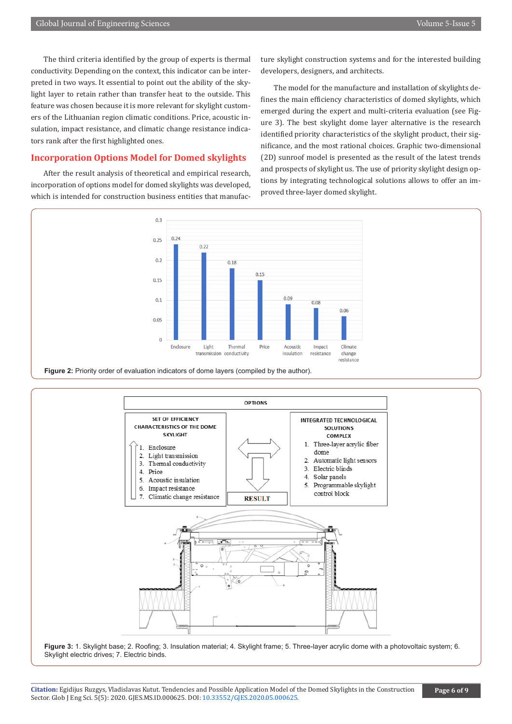The third criteria identified by the group of experts is thermal conductivity. Depending on the context, this indicator can be interpreted in two ways. It essential to point out the ability of the skylight layer to retain rather than transfer heat to the outside. This feature was chosen because it is more relevant for skylight customers of the Lithuanian region climatic conditions. Price, acoustic insulation, impact resistance, and climatic change resistance indicators rank after the first highlighted ones.

## **Incorporation Options Model for Domed skylights**

After the result analysis of theoretical and empirical research, incorporation of options model for domed skylights was developed, which is intended for construction business entities that manufacture skylight construction systems and for the interested building developers, designers, and architects.

The model for the manufacture and installation of skylights defines the main efficiency characteristics of domed skylights, which emerged during the expert and multi-criteria evaluation (see Figure 3). The best skylight dome layer alternative is the research identified priority characteristics of the skylight product, their significance, and the most rational choices. Graphic two-dimensional (2D) sunroof model is presented as the result of the latest trends and prospects of skylight us. The use of priority skylight design options by integrating technological solutions allows to offer an improved three-layer domed skylight.







**Figure 3:** 1. Skylight base; 2. Roofing; 3. Insulation material; 4. Skylight frame; 5. Three-layer acrylic dome with a photovoltaic system; 6. Skylight electric drives; 7. Electric binds.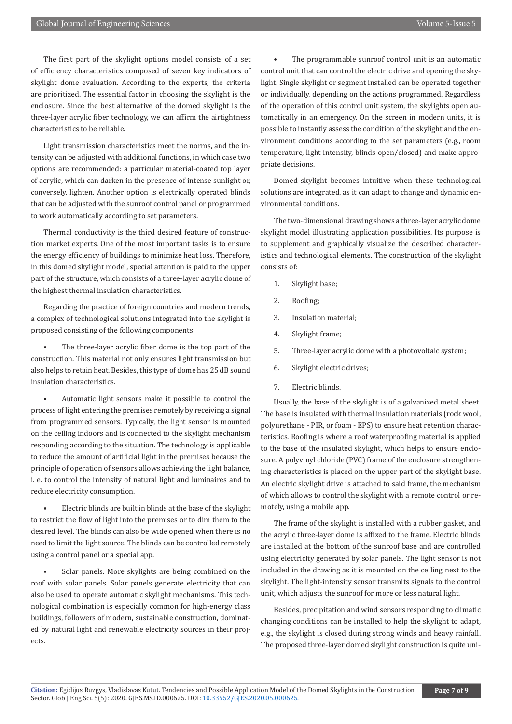The first part of the skylight options model consists of a set of efficiency characteristics composed of seven key indicators of skylight dome evaluation. According to the experts, the criteria are prioritized. The essential factor in choosing the skylight is the enclosure. Since the best alternative of the domed skylight is the three-layer acrylic fiber technology, we can affirm the airtightness characteristics to be reliable.

Light transmission characteristics meet the norms, and the intensity can be adjusted with additional functions, in which case two options are recommended: a particular material-coated top layer of acrylic, which can darken in the presence of intense sunlight or, conversely, lighten. Another option is electrically operated blinds that can be adjusted with the sunroof control panel or programmed to work automatically according to set parameters.

Thermal conductivity is the third desired feature of construction market experts. One of the most important tasks is to ensure the energy efficiency of buildings to minimize heat loss. Therefore, in this domed skylight model, special attention is paid to the upper part of the structure, which consists of a three-layer acrylic dome of the highest thermal insulation characteristics.

Regarding the practice of foreign countries and modern trends, a complex of technological solutions integrated into the skylight is proposed consisting of the following components:

The three-layer acrylic fiber dome is the top part of the construction. This material not only ensures light transmission but also helps to retain heat. Besides, this type of dome has 25 dB sound insulation characteristics.

• Automatic light sensors make it possible to control the process of light entering the premises remotely by receiving a signal from programmed sensors. Typically, the light sensor is mounted on the ceiling indoors and is connected to the skylight mechanism responding according to the situation. The technology is applicable to reduce the amount of artificial light in the premises because the principle of operation of sensors allows achieving the light balance, i. e. to control the intensity of natural light and luminaires and to reduce electricity consumption.

• Electric blinds are built in blinds at the base of the skylight to restrict the flow of light into the premises or to dim them to the desired level. The blinds can also be wide opened when there is no need to limit the light source. The blinds can be controlled remotely using a control panel or a special app.

Solar panels. More skylights are being combined on the roof with solar panels. Solar panels generate electricity that can also be used to operate automatic skylight mechanisms. This technological combination is especially common for high-energy class buildings, followers of modern, sustainable construction, dominated by natural light and renewable electricity sources in their projects.

• The programmable sunroof control unit is an automatic control unit that can control the electric drive and opening the skylight. Single skylight or segment installed can be operated together or individually, depending on the actions programmed. Regardless of the operation of this control unit system, the skylights open automatically in an emergency. On the screen in modern units, it is possible to instantly assess the condition of the skylight and the environment conditions according to the set parameters (e.g., room temperature, light intensity, blinds open/closed) and make appropriate decisions.

Domed skylight becomes intuitive when these technological solutions are integrated, as it can adapt to change and dynamic environmental conditions.

The two-dimensional drawing shows a three-layer acrylic dome skylight model illustrating application possibilities. Its purpose is to supplement and graphically visualize the described characteristics and technological elements. The construction of the skylight consists of:

- 1. Skylight base;
- 2. Roofing;
- 3. Insulation material;
- 4. Skylight frame;
- 5. Three-layer acrylic dome with a photovoltaic system;
- 6. Skylight electric drives;
- 7. Electric blinds.

Usually, the base of the skylight is of a galvanized metal sheet. The base is insulated with thermal insulation materials (rock wool, polyurethane - PIR, or foam - EPS) to ensure heat retention characteristics. Roofing is where a roof waterproofing material is applied to the base of the insulated skylight, which helps to ensure enclosure. A polyvinyl chloride (PVC) frame of the enclosure strengthening characteristics is placed on the upper part of the skylight base. An electric skylight drive is attached to said frame, the mechanism of which allows to control the skylight with a remote control or remotely, using a mobile app.

The frame of the skylight is installed with a rubber gasket, and the acrylic three-layer dome is affixed to the frame. Electric blinds are installed at the bottom of the sunroof base and are controlled using electricity generated by solar panels. The light sensor is not included in the drawing as it is mounted on the ceiling next to the skylight. The light-intensity sensor transmits signals to the control unit, which adjusts the sunroof for more or less natural light.

Besides, precipitation and wind sensors responding to climatic changing conditions can be installed to help the skylight to adapt, e.g., the skylight is closed during strong winds and heavy rainfall. The proposed three-layer domed skylight construction is quite uni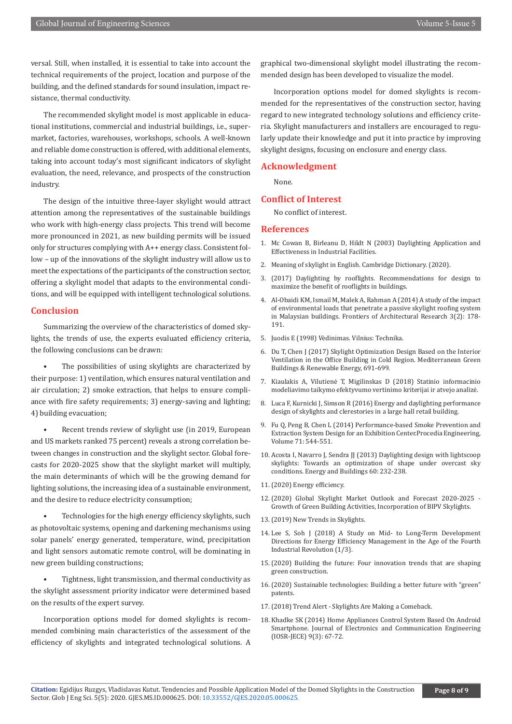versal. Still, when installed, it is essential to take into account the technical requirements of the project, location and purpose of the building, and the defined standards for sound insulation, impact resistance, thermal conductivity.

The recommended skylight model is most applicable in educational institutions, commercial and industrial buildings, i.e., supermarket, factories, warehouses, workshops, schools. A well-known and reliable dome construction is offered, with additional elements, taking into account today's most significant indicators of skylight evaluation, the need, relevance, and prospects of the construction industry.

The design of the intuitive three-layer skylight would attract attention among the representatives of the sustainable buildings who work with high-energy class projects. This trend will become more pronounced in 2021, as new building permits will be issued only for structures complying with A++ energy class. Consistent follow – up of the innovations of the skylight industry will allow us to meet the expectations of the participants of the construction sector, offering a skylight model that adapts to the environmental conditions, and will be equipped with intelligent technological solutions.

### **Conclusion**

Summarizing the overview of the characteristics of domed skylights, the trends of use, the experts evaluated efficiency criteria, the following conclusions can be drawn:

The possibilities of using skylights are characterized by their purpose: 1) ventilation, which ensures natural ventilation and air circulation; 2) smoke extraction, that helps to ensure compliance with fire safety requirements; 3) energy-saving and lighting; 4) building evacuation;

Recent trends review of skylight use (in 2019, European and US markets ranked 75 percent) reveals a strong correlation between changes in construction and the skylight sector. Global forecasts for 2020-2025 show that the skylight market will multiply, the main determinants of which will be the growing demand for lighting solutions, the increasing idea of a sustainable environment, and the desire to reduce electricity consumption;

• Technologies for the high energy efficiency skylights, such as photovoltaic systems, opening and darkening mechanisms using solar panels' energy generated, temperature, wind, precipitation and light sensors automatic remote control, will be dominating in new green building constructions;

• Tightness, light transmission, and thermal conductivity as the skylight assessment priority indicator were determined based on the results of the expert survey.

Incorporation options model for domed skylights is recommended combining main characteristics of the assessment of the efficiency of skylights and integrated technological solutions. A graphical two-dimensional skylight model illustrating the recommended design has been developed to visualize the model.

Incorporation options model for domed skylights is recommended for the representatives of the construction sector, having regard to new integrated technology solutions and efficiency criteria. Skylight manufacturers and installers are encouraged to regularly update their knowledge and put it into practice by improving skylight designs, focusing on enclosure and energy class.

## **Acknowledgment**

None.

#### **Conflict of Interest**

No conflict of interest.

#### **References**

- 1. Mc Cowan B, Birleanu D, Hildt N (2003) Daylighting Application and Effectiveness in Industrial Facilities.
- 2. Meaning of skylight in English. Cambridge Dictionary. (2020).
- 3. (2017) Daylighting by rooflights. Recommendations for design to maximize the benefit of rooflights in buildings.
- 4. [Al-Obaidi KM, Ismail M, Malek A, Rahman A \(2014\) A study of the impact](https://www.sciencedirect.com/science/article/pii/S2095263514000193) [of environmental loads that penetrate a passive skylight roofing system](https://www.sciencedirect.com/science/article/pii/S2095263514000193) [in Malaysian buildings. Frontiers of Architectural Research 3\(2\): 178-](https://www.sciencedirect.com/science/article/pii/S2095263514000193) [191.](https://www.sciencedirect.com/science/article/pii/S2095263514000193)
- 5. Juodis E (1998) Vėdinimas. Vilnius: Technika.
- 6. [Du T, Chen J \(2017\) Skylight Optimization Design Based on the Interior](https://link.springer.com/chapter/10.1007%2F978-3-319-30746-6_53) [Ventilation in the Office Building in Cold Region. Mediterranean Green](https://link.springer.com/chapter/10.1007%2F978-3-319-30746-6_53) [Buildings & Renewable Energy, 691-699.](https://link.springer.com/chapter/10.1007%2F978-3-319-30746-6_53)
- 7. [Kiaulakis A, Vilutienė T, Migilinskas D \(2018\) Statinio informacinio](https://vb.vgtu.lt/object/elaba:33233320/) [modeliavimo taikymo efektyvumo vertinimo kriterijai ir atvejo analizė.](https://vb.vgtu.lt/object/elaba:33233320/)
- 8. Luca F, Kurnicki J, Simson R (2016) Energy and daylighting performance design of skylights and clerestories in a large hall retail building.
- 9. [Fu Q, Peng B, Chen L \(2014\) Performance-based Smoke Prevention and](https://www.sciencedirect.com/science/article/pii/S1877705814004962?via%3Dihub) [Extraction System Design for an Exhibition Center.Procedia Engineering,](https://www.sciencedirect.com/science/article/pii/S1877705814004962?via%3Dihub) [Volume 71: 544-551.](https://www.sciencedirect.com/science/article/pii/S1877705814004962?via%3Dihub)
- 10. [Acosta I, Navarro J, Sendra JJ \(2013\) Daylighting design with lightscoop](https://www.sciencedirect.com/science/article/abs/pii/S0378778813000236?via%3Dihub) [skylights: Towards an optimization of shape under overcast sky](https://www.sciencedirect.com/science/article/abs/pii/S0378778813000236?via%3Dihub) [conditions. Energy and Buildings 60: 232-238.](https://www.sciencedirect.com/science/article/abs/pii/S0378778813000236?via%3Dihub)
- 11.[\(2020\) Energy efficiency.](https://www.europarl.europa.eu/factsheets/lt/sheet/69/energijos-vartojimo-efektyvumas)
- 12.[\(2020\) Global Skylight Market Outlook and Forecast 2020-2025 -](https://www.globenewswire.com/news-release/2020/02/14/1985225/0/en/Global-Skylight-Market-Outlook-and-Forecast-2020-2025-Growth-of-Green-Building-Activities-Incorporation-of-BIPV-Skylights.html) [Growth of Green Building Activities, Incorporation of BIPV Skylights.](https://www.globenewswire.com/news-release/2020/02/14/1985225/0/en/Global-Skylight-Market-Outlook-and-Forecast-2020-2025-Growth-of-Green-Building-Activities-Incorporation-of-BIPV-Skylights.html)
- 13.[\(2019\) New Trends in Skylights.](https://trustedpros.com/articles/skylights/new-trends-in-skylights)
- 14. Lee S, Soh J (2018) A Study on Mid- to Long-Term Development Directions for Energy Efficiency Management in the Age of the Fourth Industrial Revolution (1/3).
- 15.[\(2020\) Building the future: Four innovation trends that are shaping](https://www.epo.org/news-events/in-focus/sustainable-technologies/green-construction.html) [green construction.](https://www.epo.org/news-events/in-focus/sustainable-technologies/green-construction.html)
- 16.[\(2020\) Sustainable technologies: Building a better future with "green"](https://www.epo.org/news-events/in-focus/sustainable-technologies.html) [patents.](https://www.epo.org/news-events/in-focus/sustainable-technologies.html)
- 17.[\(2018\) Trend Alert Skylights Are Making a Comeback.](http://www.odonnellbros.com/articles/2018/10/17/trend-alert-skylights-are-making-a-comeback)
- 18. Khadke SK (2014) Home Appliances Control System Based On Android Smartphone. Journal of Electronics and Communication Engineering (IOSR-JECE) 9(3): 67-72.